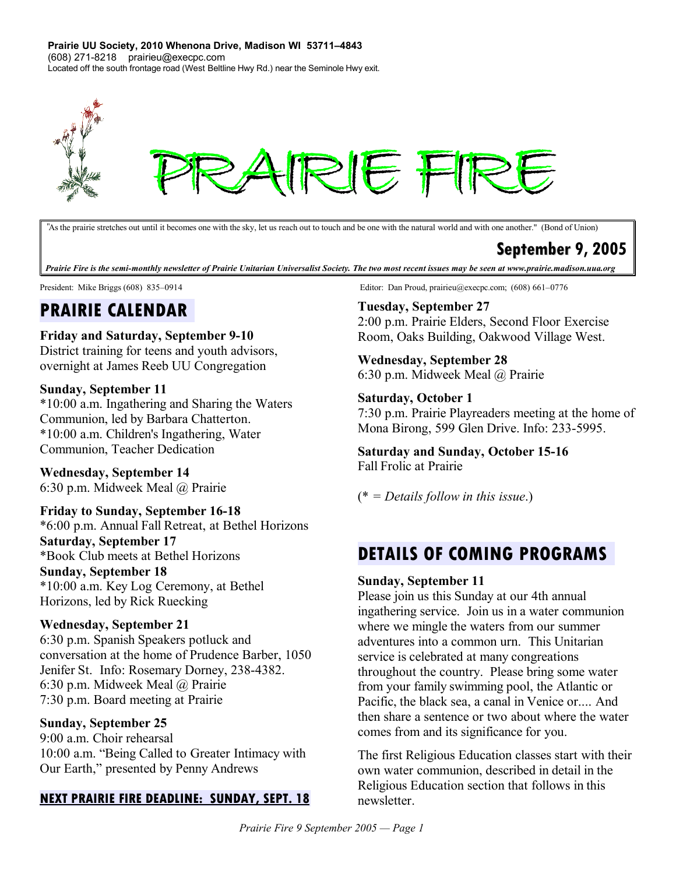**Prairie UU Society, 2010 Whenona Drive, Madison WI 53711–4843** (608) 271-8218 prairieu@execpc.com Located off the south frontage road (West Beltline Hwy Rd.) near the Seminole Hwy exit.



*"*Asthe prairie stretches out until it becomes one with the sky, let us reach out to touch and be one with the natural world and with one another." (Bond of Union)

## **September 9, 2005**

Prairie Fire is the semi-monthly newsletter of Prairie Unitarian Universalist Society. The two most recent issues may be seen at www.prairie.madison.uua.org

# **PRAIRIE CALENDAR**

#### **Friday and Saturday, September 9-10**

District training for teens and youth advisors, overnight at James Reeb UU Congregation

#### **Sunday, September 11**

\*10:00 a.m. Ingathering and Sharing the Waters Communion, led by Barbara Chatterton. \*10:00 a.m. Children's Ingathering, Water Communion, Teacher Dedication

**Wednesday, September 14** 6:30 p.m. Midweek Meal @ Prairie

#### **Friday to Sunday, September 16-18**

\*6:00 p.m. Annual Fall Retreat, at Bethel Horizons **Saturday, September 17** \*Book Club meets at Bethel Horizons **Sunday, September 18** \*10:00 a.m. Key Log Ceremony, at Bethel Horizons, led by Rick Ruecking

#### **Wednesday, September 21**

6:30 p.m. Spanish Speakers potluck and conversation at the home of Prudence Barber, 1050 Jenifer St. Info: Rosemary Dorney, 238-4382. 6:30 p.m. Midweek Meal @ Prairie 7:30 p.m. Board meeting at Prairie

#### **Sunday, September 25**

9:00 a.m. Choir rehearsal 10:00 a.m. "Being Called to Greater Intimacy with Our Earth," presented by Penny Andrews

#### **NEXT PRAIRIE FIRE DEADLINE: SUNDAY, SEPT. 18**

President: Mike Briggs (608) 835–0914 Editor: Dan Proud, prairieu@execpc.com; (608) 661–0776

### **Tuesday, September 27**

2:00 p.m. Prairie Elders, Second Floor Exercise Room, Oaks Building, Oakwood Village West.

## **Wednesday, September 28**

6:30 p.m. Midweek Meal @ Prairie

#### **Saturday, October 1**

7:30 p.m. Prairie Playreaders meeting at the home of Mona Birong, 599 Glen Drive. Info: 233-5995.

#### **Saturday and Sunday, October 15-16** Fall Frolic at Prairie

(\* *= Details follow in this issue*.)

# **DETAILS OF COMING PROGRAMS**

#### **Sunday, September 11**

Please join us this Sunday at our 4th annual ingathering service. Join us in a water communion where we mingle the waters from our summer adventures into a common urn. This Unitarian service is celebrated at many congreations throughout the country. Please bring some water from your family swimming pool, the Atlantic or Pacific, the black sea, a canal in Venice or.... And then share a sentence or two about where the water comes from and its significance for you.

The first Religious Education classes start with their own water communion, described in detail in the Religious Education section that follows in this newsletter.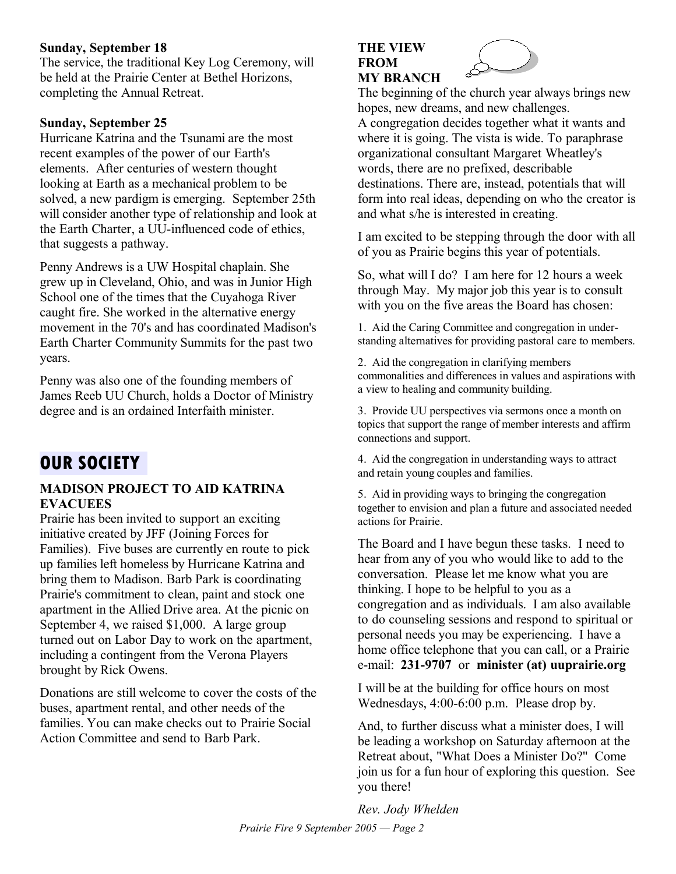#### **Sunday, September 18**

The service, the traditional Key Log Ceremony, will be held at the Prairie Center at Bethel Horizons, completing the Annual Retreat.

#### **Sunday, September 25**

Hurricane Katrina and the Tsunami are the most recent examples of the power of our Earth's elements. After centuries of western thought looking at Earth as a mechanical problem to be solved, a new pardigm is emerging. September 25th will consider another type of relationship and look at the Earth Charter, a UU-influenced code of ethics, that suggests a pathway.

Penny Andrews is a UW Hospital chaplain. She grew up in Cleveland, Ohio, and was in Junior High School one of the times that the Cuyahoga River caught fire. She worked in the alternative energy movement in the 70's and has coordinated Madison's Earth Charter Community Summits for the past two years.

Penny was also one of the founding members of James Reeb UU Church, holds a Doctor of Ministry degree and is an ordained Interfaith minister.

# **OUR SOCIETY**

#### **MADISON PROJECT TO AID KATRINA EVACUEES**

Prairie has been invited to support an exciting initiative created by JFF (Joining Forces for Families). Five buses are currently en route to pick up families left homeless by Hurricane Katrina and bring them to Madison. Barb Park is coordinating Prairie's commitment to clean, paint and stock one apartment in the Allied Drive area. At the picnic on September 4, we raised \$1,000. A large group turned out on Labor Day to work on the apartment, including a contingent from the Verona Players brought by Rick Owens.

Donations are still welcome to cover the costs of the buses, apartment rental, and other needs of the families. You can make checks out to Prairie Social Action Committee and send to Barb Park.

#### **THE VIEW FROM MY BRANCH**



The beginning of the church year always brings new hopes, new dreams, and new challenges. A congregation decides together what it wants and where it is going. The vista is wide. To paraphrase organizational consultant Margaret Wheatley's words, there are no prefixed, describable destinations. There are, instead, potentials that will form into real ideas, depending on who the creator is and what s/he is interested in creating.

I am excited to be stepping through the door with all of you as Prairie begins this year of potentials.

So, what will I do? I am here for 12 hours a week through May. My major job this year is to consult with you on the five areas the Board has chosen:

1. Aid the Caring Committee and congregation in understanding alternatives for providing pastoral care to members.

2. Aid the congregation in clarifying members commonalities and differences in values and aspirations with a view to healing and community building.

3. Provide UU perspectives via sermons once a month on topics that support the range of member interests and affirm connections and support.

4. Aid the congregation in understanding ways to attract and retain young couples and families.

5. Aid in providing ways to bringing the congregation together to envision and plan a future and associated needed actions for Prairie.

The Board and I have begun these tasks. I need to hear from any of you who would like to add to the conversation. Please let me know what you are thinking. I hope to be helpful to you as a congregation and as individuals. I am also available to do counseling sessions and respond to spiritual or personal needs you may be experiencing. I have a home office telephone that you can call, or a Prairie e-mail: **231-9707** or **minister (at) uuprairie.org**

I will be at the building for office hours on most Wednesdays, 4:00-6:00 p.m. Please drop by.

And, to further discuss what a minister does, I will be leading a workshop on Saturday afternoon at the Retreat about, "What Does a Minister Do?" Come join us for a fun hour of exploring this question. See you there!

*Rev. Jody Whelden Prairie Fire 9 September 2005 — Page 2*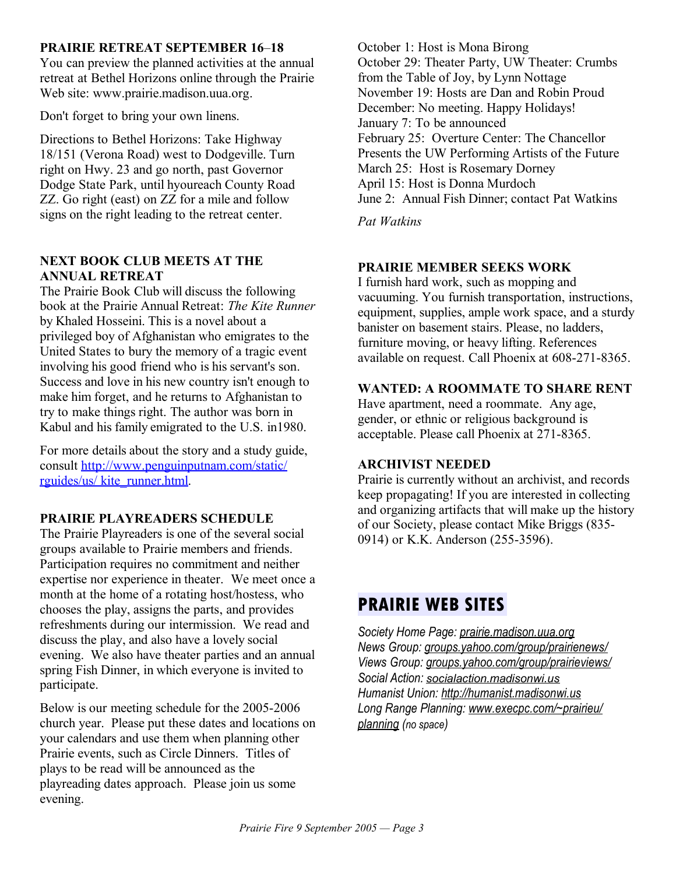#### **PRAIRIE RETREAT SEPTEMBER 16**–**18**

You can preview the planned activities at the annual retreat at Bethel Horizons online through the Prairie Web site: www.prairie.madison.uua.org.

Don't forget to bring your own linens.

Directions to Bethel Horizons: Take Highway 18/151 (Verona Road) west to Dodgeville. Turn right on Hwy. 23 and go north, past Governor Dodge State Park, until hyoureach County Road ZZ. Go right (east) on ZZ for a mile and follow signs on the right leading to the retreat center.

#### **NEXT BOOK CLUB MEETS AT THE ANNUAL RETREAT**

The Prairie Book Club will discuss the following book at the Prairie Annual Retreat: *The Kite Runner* by Khaled Hosseini. This is a novel about a privileged boy of Afghanistan who emigrates to the United States to bury the memory of a tragic event involving his good friend who is his servant's son. Success and love in his new country isn't enough to make him forget, and he returns to Afghanistan to try to make things right. The author was born in Kabul and his family emigrated to the U.S. in1980.

For more details about the story and a study guide, consult http://www.penguinputnam.com/static/ rguides/us/ kite\_runner.html.

#### **PRAIRIE PLAYREADERS SCHEDULE**

The Prairie Playreaders is one of the several social groups available to Prairie members and friends. Participation requires no commitment and neither expertise nor experience in theater. We meet once a month at the home of a rotating host/hostess, who chooses the play, assigns the parts, and provides refreshments during our intermission. We read and discuss the play, and also have a lovely social evening. We also have theater parties and an annual spring Fish Dinner, in which everyone is invited to participate.

Below is our meeting schedule for the 2005-2006 church year. Please put these dates and locations on your calendars and use them when planning other Prairie events, such as Circle Dinners. Titles of plays to be read will be announced as the playreading dates approach. Please join us some evening.

October 1: Host is Mona Birong October 29: Theater Party, UW Theater: Crumbs from the Table of Joy, by Lynn Nottage November 19: Hosts are Dan and Robin Proud December: No meeting. Happy Holidays! January 7: To be announced February 25: Overture Center: The Chancellor Presents the UW Performing Artists of the Future March 25: Host is Rosemary Dorney April 15: Host is Donna Murdoch June 2: Annual Fish Dinner; contact Pat Watkins

*Pat Watkins*

### **PRAIRIE MEMBER SEEKS WORK**

I furnish hard work, such as mopping and vacuuming. You furnish transportation, instructions, equipment, supplies, ample work space, and a sturdy banister on basement stairs. Please, no ladders, furniture moving, or heavy lifting. References available on request. Call Phoenix at 608-271-8365.

#### **WANTED: A ROOMMATE TO SHARE RENT**

Have apartment, need a roommate. Any age, gender, or ethnic or religious background is acceptable. Please call Phoenix at 271-8365.

#### **ARCHIVIST NEEDED**

Prairie is currently without an archivist, and records keep propagating! If you are interested in collecting and organizing artifacts that will make up the history of our Society, please contact Mike Briggs (835- 0914) or K.K. Anderson (255-3596).

# **PRAIRIE WEB SITES**

*Society Home Page: prairie.madison.uua.org News Group: groups.yahoo.com /group/ prairienews / Views Group: groups.yahoo.com/group/prairieviews/ Social Action: socialaction.madisonwi.us Humanist Union: http://hum anist.madisonwi.us Long Range Planning: www.execpc.com/~prairieu/ planning (no space)*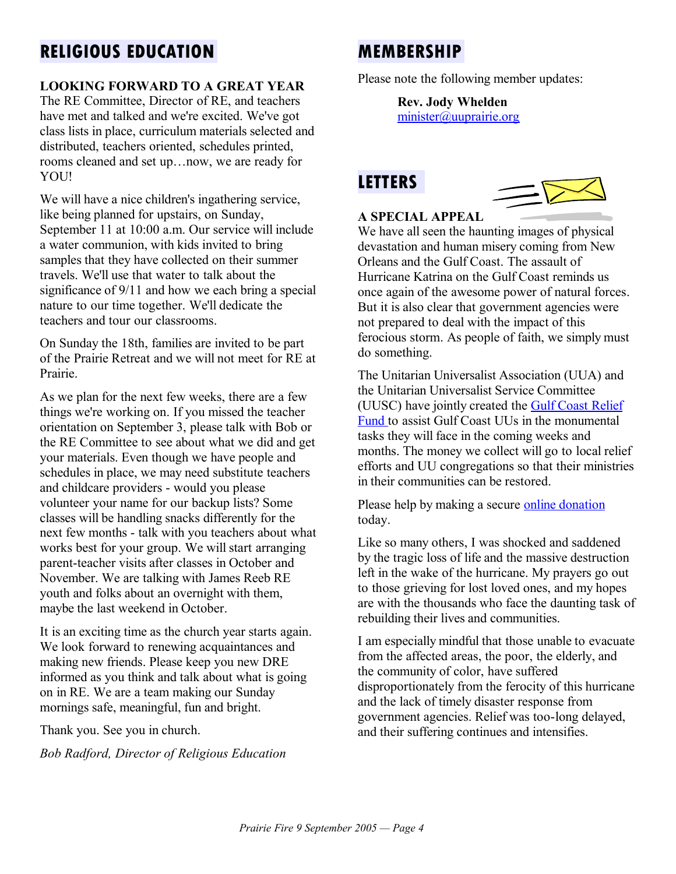# **RELIGIOUS EDUCATION**

### **LOOKING FORWARD TO A GREAT YEAR**

The RE Committee, Director of RE, and teachers have met and talked and we're excited. We've got class lists in place, curriculum materials selected and distributed, teachers oriented, schedules printed, rooms cleaned and set up…now, we are ready for YOU!

We will have a nice children's ingathering service, like being planned for upstairs, on Sunday, September 11 at 10:00 a.m. Our service will include a water communion, with kids invited to bring samples that they have collected on their summer travels. We'll use that water to talk about the significance of 9/11 and how we each bring a special nature to our time together. We'll dedicate the teachers and tour our classrooms.

On Sunday the 18th, families are invited to be part of the Prairie Retreat and we will not meet for RE at Prairie.

As we plan for the next few weeks, there are a few things we're working on. If you missed the teacher orientation on September 3, please talk with Bob or the RE Committee to see about what we did and get your materials. Even though we have people and schedules in place, we may need substitute teachers and childcare providers - would you please volunteer your name for our backup lists? Some classes will be handling snacks differently for the next few months - talk with you teachers about what works best for your group. We will start arranging parent-teacher visits after classes in October and November. We are talking with James Reeb RE youth and folks about an overnight with them, maybe the last weekend in October.

It is an exciting time as the church year starts again. We look forward to renewing acquaintances and making new friends. Please keep you new DRE informed as you think and talk about what is going on in RE. We are a team making our Sunday mornings safe, meaningful, fun and bright.

Thank you. See you in church.

*Bob Radford, Director of Religious Education*

# **MEMBERSHIP**

Please note the following member updates:

**Rev. Jody Whelden** minister@uuprairie.org

## **LETTERS**



#### **A SPECIAL APPEAL**

We have all seen the haunting images of physical devastation and human misery coming from New Orleans and the Gulf Coast. The assault of Hurricane Katrina on the Gulf Coast reminds us once again of the awesome power of natural forces. But it is also clear that government agencies were not prepared to deal with the impact of this ferocious storm. As people of faith, we simply must do something.

The Unitarian Universalist Association (UUA) and the Unitarian Universalist Service Committee (UUSC) have jointly created the Gulf Coast Relief Fund to assist Gulf Coast UUs in the monumental tasks they will face in the coming weeks and months. The money we collect will go to local relief efforts and UU congregations so that their ministries in their communities can be restored.

Please help by making a secure online donation today.

Like so many others, I was shocked and saddened by the tragic loss of life and the massive destruction left in the wake of the hurricane. My prayers go out to those grieving for lost loved ones, and my hopes are with the thousands who face the daunting task of rebuilding their lives and communities.

I am especially mindful that those unable to evacuate from the affected areas, the poor, the elderly, and the community of color, have suffered disproportionately from the ferocity of this hurricane and the lack of timely disaster response from government agencies. Relief was too-long delayed, and their suffering continues and intensifies.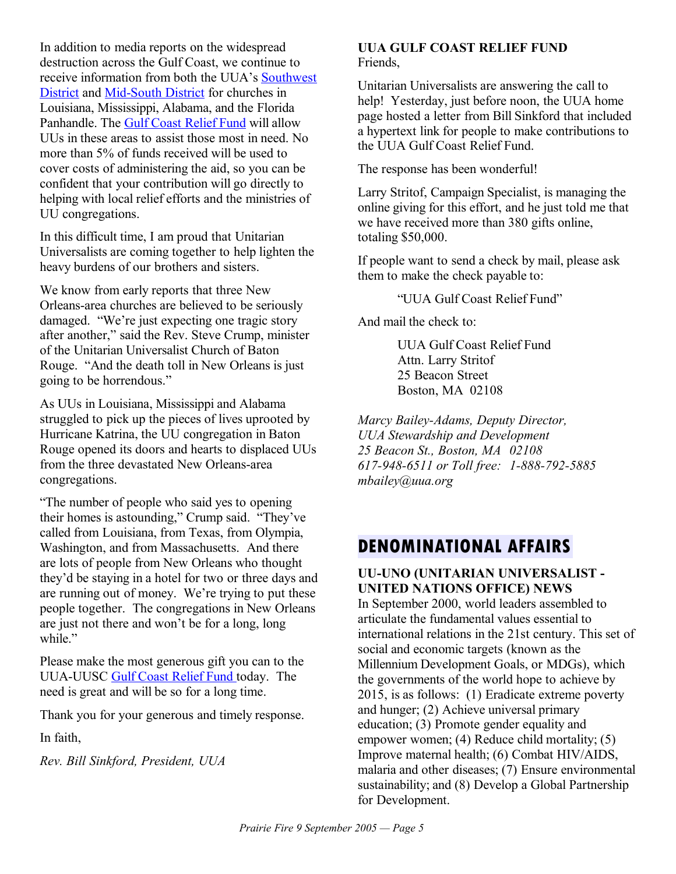In addition to media reports on the widespread destruction across the Gulf Coast, we continue to receive information from both the UUA's Southwest District and Mid-South District for churches in Louisiana, Mississippi, Alabama, and the Florida Panhandle. The Gulf Coast Relief Fund will allow UUs in these areas to assist those most in need. No more than 5% of funds received will be used to cover costs of administering the aid, so you can be confident that your contribution will go directly to helping with local relief efforts and the ministries of UU congregations.

In this difficult time, I am proud that Unitarian Universalists are coming together to help lighten the heavy burdens of our brothers and sisters.

We know from early reports that three New Orleans-area churches are believed to be seriously damaged. "We're just expecting one tragic story after another," said the Rev. Steve Crump, minister of the Unitarian Universalist Church of Baton Rouge. "And the death toll in New Orleans is just going to be horrendous."

As UUs in Louisiana, Mississippi and Alabama struggled to pick up the pieces of lives uprooted by Hurricane Katrina, the UU congregation in Baton Rouge opened its doors and hearts to displaced UUs from the three devastated New Orleans-area congregations.

"The number of people who said yes to opening their homes is astounding," Crump said. "They've called from Louisiana, from Texas, from Olympia, Washington, and from Massachusetts. And there are lots of people from New Orleans who thought they'd be staying in a hotel for two or three days and are running out of money. We're trying to put these people together. The congregations in New Orleans are just not there and won't be for a long, long while."

Please make the most generous gift you can to the UUA-UUSC Gulf Coast Relief Fund today. The need is great and will be so for a long time.

Thank you for your generous and timely response.

In faith,

*Rev. Bill Sinkford, President, UUA*

#### **UUA GULF COAST RELIEF FUND** Friends,

Unitarian Universalists are answering the call to help! Yesterday, just before noon, the UUA home page hosted a letter from Bill Sinkford that included a hypertext link for people to make contributions to the UUA Gulf Coast Relief Fund.

The response has been wonderful!

Larry Stritof, Campaign Specialist, is managing the online giving for this effort, and he just told me that we have received more than 380 gifts online, totaling \$50,000.

If people want to send a check by mail, please ask them to make the check payable to:

"UUA Gulf Coast Relief Fund"

And mail the check to:

UUA Gulf Coast Relief Fund Attn. Larry Stritof 25 Beacon Street Boston, MA 02108

*Marcy Bailey-Adams, Deputy Director, UUA Stewardship and Development 25 Beacon St., Boston, MA 02108 617-948-6511 or Toll free: 1-888-792-5885 mbailey@uua.org*

# **DENOMINATIONAL AFFAIRS**

#### **UU-UNO (UNITARIAN UNIVERSALIST - UNITED NATIONS OFFICE) NEWS** In September 2000, world leaders assembled to articulate the fundamental values essential to international relations in the 21st century. This set of social and economic targets (known as the Millennium Development Goals, or MDGs), which the governments of the world hope to achieve by 2015, is as follows: (1) Eradicate extreme poverty and hunger; (2) Achieve universal primary education; (3) Promote gender equality and empower women; (4) Reduce child mortality; (5) Improve maternal health; (6) Combat HIV/AIDS, malaria and other diseases; (7) Ensure environmental sustainability; and (8) Develop a Global Partnership for Development.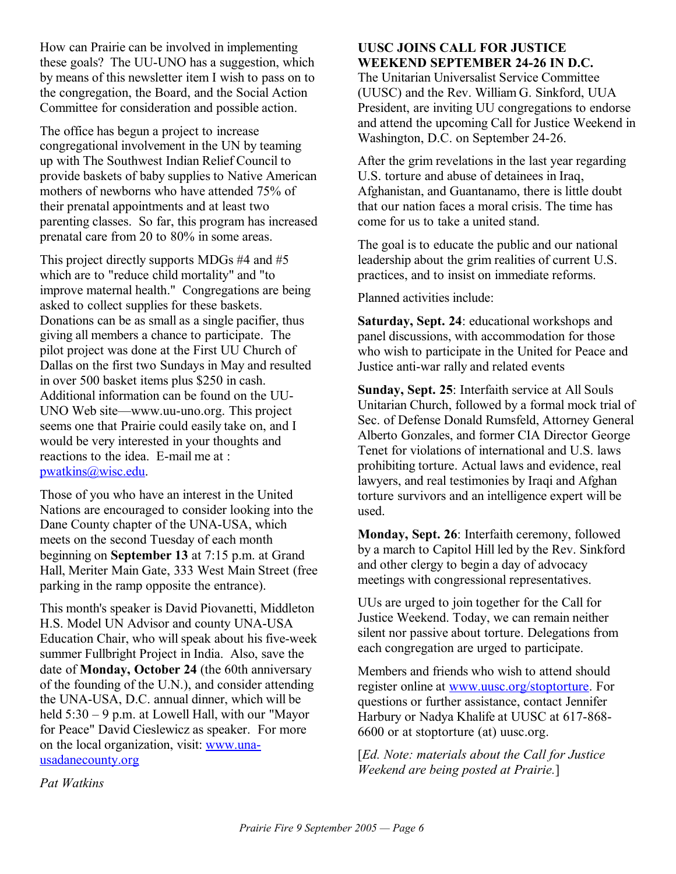How can Prairie can be involved in implementing these goals? The UU-UNO has a suggestion, which by means of this newsletter item I wish to pass on to the congregation, the Board, and the Social Action Committee for consideration and possible action.

The office has begun a project to increase congregational involvement in the UN by teaming up with The Southwest Indian Relief Council to provide baskets of baby supplies to Native American mothers of newborns who have attended 75% of their prenatal appointments and at least two parenting classes. So far, this program has increased prenatal care from 20 to 80% in some areas.

This project directly supports MDGs #4 and #5 which are to "reduce child mortality" and "to improve maternal health." Congregations are being asked to collect supplies for these baskets. Donations can be as small as a single pacifier, thus giving all members a chance to participate. The pilot project was done at the First UU Church of Dallas on the first two Sundays in May and resulted in over 500 basket items plus \$250 in cash. Additional information can be found on the UU-UNO Web site—www.uu-uno.org. This project seems one that Prairie could easily take on, and I would be very interested in your thoughts and reactions to the idea. E-mail me at : pwatkins@wisc.edu.

Those of you who have an interest in the United Nations are encouraged to consider looking into the Dane County chapter of the UNA-USA, which meets on the second Tuesday of each month beginning on **September 13** at 7:15 p.m. at Grand Hall, Meriter Main Gate, 333 West Main Street (free parking in the ramp opposite the entrance).

This month's speaker is David Piovanetti, Middleton H.S. Model UN Advisor and county UNA-USA Education Chair, who will speak about his five-week summer Fullbright Project in India. Also, save the date of **Monday, October 24** (the 60th anniversary of the founding of the U.N.), and consider attending the UNA-USA, D.C. annual dinner, which will be held 5:30 – 9 p.m. at Lowell Hall, with our "Mayor for Peace" David Cieslewicz as speaker. For more on the local organization, visit: www.unausadanecounty.org

#### **UUSC JOINS CALL FOR JUSTICE WEEKEND SEPTEMBER 24-26 IN D.C.**

The Unitarian Universalist Service Committee (UUSC) and the Rev. William G. Sinkford, UUA President, are inviting UU congregations to endorse and attend the upcoming Call for Justice Weekend in Washington, D.C. on September 24-26.

After the grim revelations in the last year regarding U.S. torture and abuse of detainees in Iraq, Afghanistan, and Guantanamo, there is little doubt that our nation faces a moral crisis. The time has come for us to take a united stand.

The goal is to educate the public and our national leadership about the grim realities of current U.S. practices, and to insist on immediate reforms.

Planned activities include:

**Saturday, Sept. 24**: educational workshops and panel discussions, with accommodation for those who wish to participate in the United for Peace and Justice anti-war rally and related events

**Sunday, Sept. 25**: Interfaith service at All Souls Unitarian Church, followed by a formal mock trial of Sec. of Defense Donald Rumsfeld, Attorney General Alberto Gonzales, and former CIA Director George Tenet for violations of international and U.S. laws prohibiting torture. Actual laws and evidence, real lawyers, and real testimonies by Iraqi and Afghan torture survivors and an intelligence expert will be used.

**Monday, Sept. 26**: Interfaith ceremony, followed by a march to Capitol Hill led by the Rev. Sinkford and other clergy to begin a day of advocacy meetings with congressional representatives.

UUs are urged to join together for the Call for Justice Weekend. Today, we can remain neither silent nor passive about torture. Delegations from each congregation are urged to participate.

Members and friends who wish to attend should register online at www.uusc.org/stoptorture. For questions or further assistance, contact Jennifer Harbury or Nadya Khalife at UUSC at 617-868- 6600 or at stoptorture (at) uusc.org.

[*Ed. Note: materials about the Call for Justice Weekend are being posted at Prairie.*]

*Pat Watkins*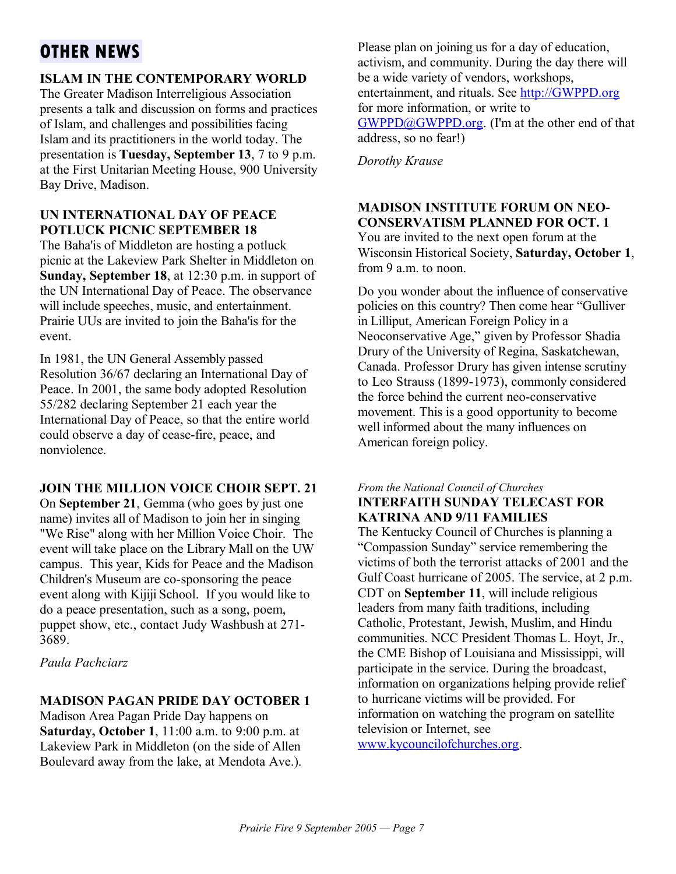# **OTHER NEWS**

## **ISLAM IN THE CONTEMPORARY WORLD**

The Greater Madison Interreligious Association presents a talk and discussion on forms and practices of Islam, and challenges and possibilities facing Islam and its practitioners in the world today. The presentation is **Tuesday, September 13**, 7 to 9 p.m. at the First Unitarian Meeting House, 900 University Bay Drive, Madison.

#### **UN INTERNATIONAL DAY OF PEACE POTLUCK PICNIC SEPTEMBER 18**

The Baha'is of Middleton are hosting a potluck picnic at the Lakeview Park Shelter in Middleton on **Sunday, September 18**, at 12:30 p.m. in support of the UN International Day of Peace. The observance will include speeches, music, and entertainment. Prairie UUs are invited to join the Baha'is for the event.

In 1981, the UN General Assembly passed Resolution 36/67 declaring an International Day of Peace. In 2001, the same body adopted Resolution 55/282 declaring September 21 each year the International Day of Peace, so that the entire world could observe a day of cease-fire, peace, and nonviolence.

### **JOIN THE MILLION VOICE CHOIR SEPT. 21**

On **September 21**, Gemma (who goes by just one name) invites all of Madison to join her in singing "We Rise" along with her Million Voice Choir. The event will take place on the Library Mall on the UW campus. This year, Kids for Peace and the Madison Children's Museum are co-sponsoring the peace event along with Kijiji School. If you would like to do a peace presentation, such as a song, poem, puppet show, etc., contact Judy Washbush at 271- 3689.

*Paula Pachciarz*

### **MADISON PAGAN PRIDE DAY OCTOBER 1**

Madison Area Pagan Pride Day happens on **Saturday, October 1**, 11:00 a.m. to 9:00 p.m. at Lakeview Park in Middleton (on the side of Allen Boulevard away from the lake, at Mendota Ave.). Please plan on joining us for a day of education, activism, and community. During the day there will be a wide variety of vendors, workshops, entertainment, and rituals. See http://GWPPD.org for more information, or write to GWPPD@GWPPD.org. (I'm at the other end of that address, so no fear!)

*Dorothy Krause*

#### **MADISON INSTITUTE FORUM ON NEO-CONSERVATISM PLANNED FOR OCT. 1** You are invited to the next open forum at the

Wisconsin Historical Society, **Saturday, October 1**, from 9 a.m. to noon.

Do you wonder about the influence of conservative policies on this country? Then come hear "Gulliver in Lilliput, American Foreign Policy in a Neoconservative Age," given by Professor Shadia Drury of the University of Regina, Saskatchewan, Canada. Professor Drury has given intense scrutiny to Leo Strauss (1899-1973), commonly considered the force behind the current neo-conservative movement. This is a good opportunity to become well informed about the many influences on American foreign policy.

#### *From the National Council of Churches* **INTERFAITH SUNDAY TELECAST FOR KATRINA AND 9/11 FAMILIES**

The Kentucky Council of Churches is planning a "Compassion Sunday" service remembering the victims of both the terrorist attacks of 2001 and the Gulf Coast hurricane of 2005. The service, at 2 p.m. CDT on **September 11**, will include religious leaders from many faith traditions, including Catholic, Protestant, Jewish, Muslim, and Hindu communities. NCC President Thomas L. Hoyt, Jr., the CME Bishop of Louisiana and Mississippi, will participate in the service. During the broadcast, information on organizations helping provide relief to hurricane victims will be provided. For information on watching the program on satellite television or Internet, see www.kycouncilofchurches.org.